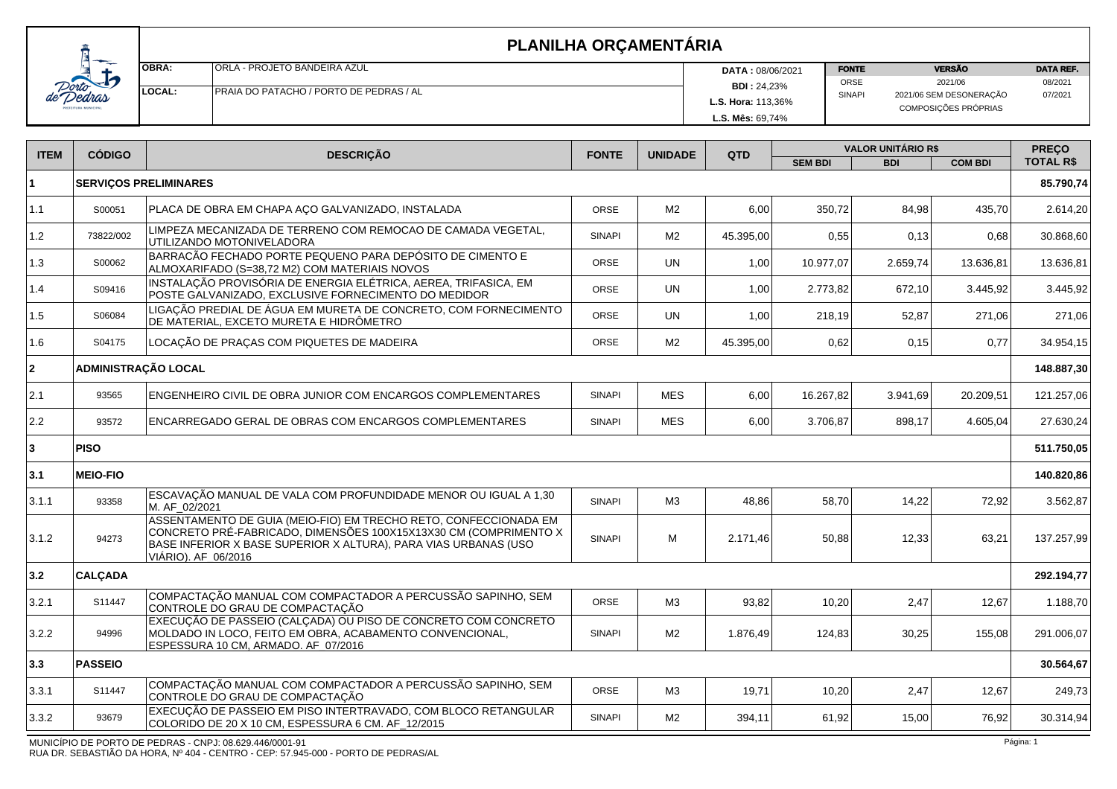| <u>in the company of the company of the company of the company of the company of the company of the company of the company of the company of the company of the company of the company of the company of the company of the comp</u> | <b>IOBRA:</b> | <b>ORLA - PROJETO BANDEIRA AZUL</b>            | <b>DATA: 08/06/2021</b>   | <b>FONTE</b> | <b>VERSÃO</b>                                   | <b>DATA REF.</b> |
|--------------------------------------------------------------------------------------------------------------------------------------------------------------------------------------------------------------------------------------|---------------|------------------------------------------------|---------------------------|--------------|-------------------------------------------------|------------------|
|                                                                                                                                                                                                                                      |               |                                                | <b>BDI: 24,23%</b>        | ORSE         | 2021/06                                         | 08/2021          |
| ras<br><b>INICIPAL</b>                                                                                                                                                                                                               | LOCAL:        | <b>PRAJA DO PATACHO / PORTO DE PEDRAS / AL</b> | <b>L.S. Hora: 113,36%</b> | SINAPI       | 2021/06 SEM DESONERAÇÃO<br>COMPOSIÇÕES PRÓPRIAS | 07/2021          |
|                                                                                                                                                                                                                                      |               |                                                | L.S. Mês: 69,74%          |              |                                                 |                  |

|                 |                                                                                                                                                            |                                                                                                                                                                                                                      |                |                | <b>VALOR UNITÁRIO R\$</b> |            |                | <b>PREÇO</b>     |
|-----------------|------------------------------------------------------------------------------------------------------------------------------------------------------------|----------------------------------------------------------------------------------------------------------------------------------------------------------------------------------------------------------------------|----------------|----------------|---------------------------|------------|----------------|------------------|
|                 |                                                                                                                                                            |                                                                                                                                                                                                                      |                |                | <b>SEM BDI</b>            | <b>BDI</b> | <b>COM BDI</b> | <b>TOTAL R\$</b> |
|                 |                                                                                                                                                            |                                                                                                                                                                                                                      |                |                |                           |            |                | 85.790,74        |
| S00051          | PLACA DE OBRA EM CHAPA AÇO GALVANIZADO, INSTALADA                                                                                                          | ORSE                                                                                                                                                                                                                 | M <sub>2</sub> | 6,00           | 350,72                    | 84,98      | 435,70         | 2.614,20         |
| 73822/002       | LIMPEZA MECANIZADA DE TERRENO COM REMOCAO DE CAMADA VEGETAL,<br>UTILIZANDO MOTONIVELADORA                                                                  | <b>SINAPI</b>                                                                                                                                                                                                        | M <sub>2</sub> | 45.395,00      | 0,55                      |            | 0,68           | 30.868,60        |
| S00062          | BARRACÃO FECHADO PORTE PEQUENO PARA DEPÓSITO DE CIMENTO E<br>ALMOXARIFADO (S=38,72 M2) COM MATERIAIS NOVOS                                                 | ORSE                                                                                                                                                                                                                 | <b>UN</b>      | 1,00           | 10.977,07                 | 2.659,74   | 13.636,81      | 13.636,81        |
| S09416          | INSTALACÃO PROVISÓRIA DE ENERGIA ELÉTRICA, AEREA, TRIFASICA, EM<br>POSTE GALVANIZADO, EXCLUSIVE FORNECIMENTO DO MEDIDOR                                    | ORSE                                                                                                                                                                                                                 | <b>UN</b>      | 1,00           | 2.773,82                  | 672,10     | 3.445,92       | 3.445,92         |
| S06084          | LIGAÇÃO PREDIAL DE ÁGUA EM MURETA DE CONCRETO, COM FORNECIMENTO<br>DE MATERIAL, EXCETO MURETA E HIDRÔMETRO                                                 | <b>ORSE</b>                                                                                                                                                                                                          | <b>UN</b>      | 1,00           | 218,19                    | 52,87      | 271,06         | 271,06           |
| S04175          | LOCAÇÃO DE PRAÇAS COM PIQUETES DE MADEIRA                                                                                                                  | ORSE                                                                                                                                                                                                                 | M <sub>2</sub> | 45.395,00      | 0,62                      |            | 0,77           | 34.954,15        |
|                 |                                                                                                                                                            |                                                                                                                                                                                                                      |                |                |                           |            |                | 148.887,30       |
| 93565           | ENGENHEIRO CIVIL DE OBRA JUNIOR COM ENCARGOS COMPLEMENTARES                                                                                                | <b>SINAPI</b>                                                                                                                                                                                                        | <b>MES</b>     | 6,00           | 16.267,82                 | 3.941,69   | 20.209,51      | 121.257,06       |
| 93572           | ENCARREGADO GERAL DE OBRAS COM ENCARGOS COMPLEMENTARES                                                                                                     | <b>SINAPI</b>                                                                                                                                                                                                        | <b>MES</b>     | 6,00           | 3.706,87                  | 898,17     | 4.605,04       | 27.630,24        |
| <b>PISO</b>     |                                                                                                                                                            |                                                                                                                                                                                                                      |                |                |                           |            |                | 511.750,05       |
| <b>MEIO-FIO</b> |                                                                                                                                                            |                                                                                                                                                                                                                      |                |                |                           |            |                | 140.820,86       |
| 93358           | ESCAVAÇÃO MANUAL DE VALA COM PROFUNDIDADE MENOR OU IGUAL A 1,30<br>M. AF 02/2021                                                                           | <b>SINAPI</b>                                                                                                                                                                                                        | M3             | 48,86          | 58,70                     | 14,22      | 72,92          | 3.562,87         |
| 94273           | CONCRETO PRÉ-FABRICADO, DIMENSÕES 100X15X13X30 CM (COMPRIMENTO X<br>BASE INFERIOR X BASE SUPERIOR X ALTURA), PARA VIAS URBANAS (USO<br>VIÁRIO). AF 06/2016 | <b>SINAPI</b>                                                                                                                                                                                                        | M              | 2.171,46       | 50,88                     | 12,33      | 63,21          | 137.257,99       |
| <b>CALÇADA</b>  |                                                                                                                                                            |                                                                                                                                                                                                                      |                |                |                           |            |                | 292.194,77       |
| S11447          | COMPACTAÇÃO MANUAL COM COMPACTADOR A PERCUSSÃO SAPINHO, SEM<br>CONTROLE DO GRAU DE COMPACTAÇÃO                                                             | <b>ORSE</b>                                                                                                                                                                                                          | M3             | 93,82          | 10,20                     | 2,47       | 12,67          | 1.188,70         |
| 94996           | MOLDADO IN LOCO, FEITO EM OBRA, ACABAMENTO CONVENCIONAL,<br>ESPESSURA 10 CM, ARMADO. AF_07/2016                                                            | <b>SINAPI</b>                                                                                                                                                                                                        | M2             | 1.876,49       | 124,83                    | 30,25      | 155,08         | 291.006,07       |
| <b>PASSEIO</b>  |                                                                                                                                                            |                                                                                                                                                                                                                      |                |                |                           |            |                | 30.564,67        |
| S11447          | COMPACTAÇÃO MANUAL COM COMPACTADOR A PERCUSSÃO SAPINHO, SEM<br>CONTROLE DO GRAU DE COMPACTAÇÃO                                                             | ORSE                                                                                                                                                                                                                 | M3             | 19,71          | 10,20                     | 2,47       | 12,67          | 249,73           |
| 93679           | EXECUÇÃO DE PASSEIO EM PISO INTERTRAVADO, COM BLOCO RETANGULAR<br>COLORIDO DE 20 X 10 CM, ESPESSURA 6 CM. AF_12/2015                                       | <b>SINAPI</b>                                                                                                                                                                                                        | M <sub>2</sub> | 394,11         | 61,92                     | 15,00      | 76,92          | 30.314,94        |
|                 | <b>CÓDIGO</b>                                                                                                                                              | <b>DESCRIÇÃO</b><br><b>SERVIÇOS PRELIMINARES</b><br><b>ADMINISTRAÇÃO LOCAL</b><br>ASSENTAMENTO DE GUIA (MEIO-FIO) EM TRECHO RETO, CONFECCIONADA EM<br>EXECUÇÃO DE PASSEIO (CALÇADA) OU PISO DE CONCRETO COM CONCRETO | <b>FONTE</b>   | <b>UNIDADE</b> | QTD                       |            | 0,13<br>0,15   |                  |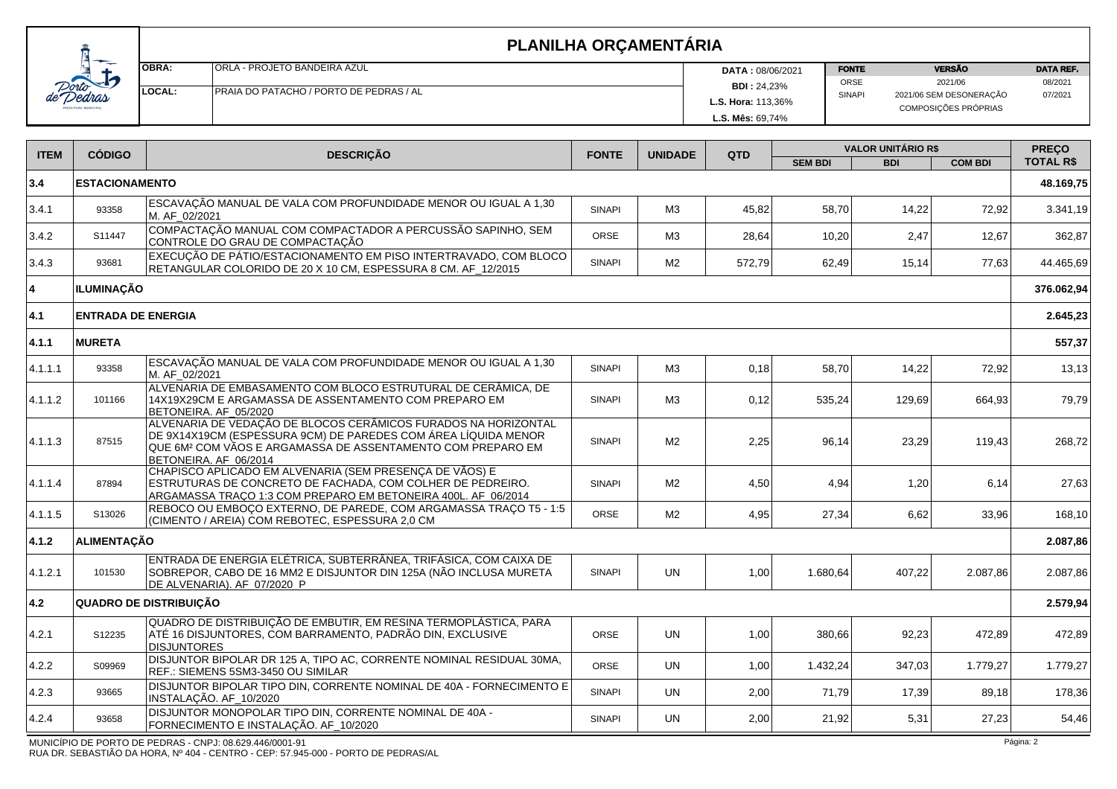|                                     | OBR/        |
|-------------------------------------|-------------|
| de Dorto<br><b>EITURA MUNICIPAL</b> | <b>LOCA</b> |

Т

|     | <b>OBRA:</b> | <b>ORLA - PROJETO BANDEIRA AZUL</b>                              | <b>DATA: 08/06/2021</b> | <b>FONTE</b>  | <b>VERSÃO</b>                                   | <b>DATA REF.</b> |
|-----|--------------|------------------------------------------------------------------|-------------------------|---------------|-------------------------------------------------|------------------|
| ↩   |              |                                                                  | <b>BDI: 24,23%</b>      | ORSE          | 2021/06                                         | 08/2021          |
| ras |              | <b>ILOCAL:</b><br><b>PRAJA DO PATACHO / PORTO DE PEDRAS / AL</b> |                         | <b>SINAPI</b> | 2021/06 SEM DESONERAÇÃO<br>COMPOSIÇÕES PRÓPRIAS | 07/2021          |
|     |              |                                                                  | L.S. Mês: 69,74%        |               |                                                 |                  |

| <b>ITEM</b> | <b>CÓDIGO</b>                 | <b>DESCRICÃO</b>                                                                                                                                                                                                         | <b>FONTE</b>  | <b>UNIDADE</b> | QTD    | <b>VALOR UNITÁRIO R\$</b> |            |                | <b>PRECO</b>     |
|-------------|-------------------------------|--------------------------------------------------------------------------------------------------------------------------------------------------------------------------------------------------------------------------|---------------|----------------|--------|---------------------------|------------|----------------|------------------|
|             |                               |                                                                                                                                                                                                                          |               |                |        | <b>SEM BDI</b>            | <b>BDI</b> | <b>COM BDI</b> | <b>TOTAL R\$</b> |
| 3.4         | <b>ESTACIONAMENTO</b>         |                                                                                                                                                                                                                          |               |                |        |                           |            |                | 48.169,75        |
| 3.4.1       | 93358                         | ESCAVAÇÃO MANUAL DE VALA COM PROFUNDIDADE MENOR OU IGUAL A 1,30<br>M. AF_02/2021                                                                                                                                         | <b>SINAPI</b> | M3             | 45,82  | 58,70                     | 14,22      | 72,92          | 3.341,19         |
| 3.4.2       | S11447                        | COMPACTAÇÃO MANUAL COM COMPACTADOR A PERCUSSÃO SAPINHO, SEM<br>CONTROLE DO GRAU DE COMPACTAÇÃO                                                                                                                           | ORSE          | M3             | 28,64  | 10,20                     | 2,47       | 12,67          | 362,87           |
| 3.4.3       | 93681                         | EXECUÇÃO DE PÁTIO/ESTACIONAMENTO EM PISO INTERTRAVADO, COM BLOCO<br>RETANGULAR COLORIDO DE 20 X 10 CM, ESPESSURA 8 CM. AF_12/2015                                                                                        | <b>SINAPI</b> | M <sub>2</sub> | 572,79 | 62,49                     | 15,14      | 77,63          | 44.465,69        |
| 14          | ∣ILUMINACÃO                   |                                                                                                                                                                                                                          |               |                |        |                           |            |                | 376.062,94       |
| 4.1         | <b>ENTRADA DE ENERGIA</b>     |                                                                                                                                                                                                                          |               |                |        |                           |            |                | 2.645,23         |
| 4.1.1       | <b>MURETA</b>                 |                                                                                                                                                                                                                          |               |                |        |                           |            |                | 557,37           |
| 4.1.1.1     | 93358                         | ESCAVAÇÃO MANUAL DE VALA COM PROFUNDIDADE MENOR OU IGUAL A 1,30<br>M. AF_02/2021                                                                                                                                         | <b>SINAPI</b> | M3             | 0,18   | 58,70                     | 14,22      | 72,92          | 13,13            |
| 4.1.1.2     | 101166                        | ALVENARIA DE EMBASAMENTO COM BLOCO ESTRUTURAL DE CERÂMICA, DE<br>14X19X29CM E ARGAMASSA DE ASSENTAMENTO COM PREPARO EM<br>BETONEIRA. AF 05/2020                                                                          | <b>SINAPI</b> | MЗ             | 0,12   | 535,24                    | 129,69     | 664,93         | 79,79            |
| 4.1.1.3     | 87515                         | ALVENARIA DE VEDAÇÃO DE BLOCOS CERÂMICOS FURADOS NA HORIZONTAL<br>DE 9X14X19CM (ESPESSURA 9CM) DE PAREDES COM ÁREA LÍQUIDA MENOR<br>QUE 6M2 COM VÃOS E ARGAMASSA DE ASSENTAMENTO COM PREPARO EM<br>BETONEIRA, AF 06/2014 | <b>SINAPI</b> | M <sub>2</sub> | 2,25   | 96,14                     | 23,29      | 119.43         | 268,72           |
| 4.1.1.4     | 87894                         | CHAPISCO APLICADO EM ALVENARIA (SEM PRESENÇA DE VÃOS) E<br>ESTRUTURAS DE CONCRETO DE FACHADA, COM COLHER DE PEDREIRO.<br>ARGAMASSA TRAÇO 1:3 COM PREPARO EM BETONEIRA 400L. AF_06/2014                                   | <b>SINAPI</b> | M <sub>2</sub> | 4,50   | 4,94                      | 1,20       | 6,14           | 27,63            |
| 4.1.1.5     | S13026                        | REBOCO OU EMBOÇO EXTERNO, DE PAREDE, COM ARGAMASSA TRAÇO T5 - 1:5<br>(CIMENTO / AREIA) COM REBOTEC, ESPESSURA 2,0 CM                                                                                                     | ORSE          | M <sub>2</sub> | 4,95   | 27,34                     | 6,62       | 33,96          | 168,10           |
| 4.1.2       | ALIMENTAÇÃO                   |                                                                                                                                                                                                                          |               |                |        |                           |            |                | 2.087,86         |
| 4.1.2.1     | 101530                        | ENTRADA DE ENERGIA ELÉTRICA, SUBTERRÂNEA, TRIFÁSICA, COM CAIXA DE<br>SOBREPOR, CABO DE 16 MM2 E DISJUNTOR DIN 125A (NÃO INCLUSA MURETA<br>DE ALVENARIA). AF 07/2020 P                                                    | <b>SINAPI</b> | <b>UN</b>      | 1,00   | 1.680,64                  | 407,22     | 2.087,86       | 2.087,86         |
| 4.2         | <b>QUADRO DE DISTRIBUIÇÃO</b> |                                                                                                                                                                                                                          |               |                |        |                           |            |                | 2.579,94         |
| 4.2.1       | S12235                        | QUADRO DE DISTRIBUIÇÃO DE EMBUTIR, EM RESINA TERMOPLÁSTICA, PARA<br>ATÉ 16 DISJUNTORES, ĆOM BARRAMENTO, PADRÃO DIN, EXCLUSIVE<br><b>DISJUNTORES</b>                                                                      | ORSE          | <b>UN</b>      | 1,00   | 380,66                    | 92,23      | 472,89         | 472,89           |
| 4.2.2       | S09969                        | DISJUNTOR BIPOLAR DR 125 A, TIPO AC, CORRENTE NOMINAL RESIDUAL 30MA,<br>REF.: SIEMENS 5SM3-3450 OU SIMILAR                                                                                                               | ORSE          | <b>UN</b>      | 1,00   | 1.432,24                  | 347,03     | 1.779,27       | 1.779,27         |
| 4.2.3       | 93665                         | DISJUNTOR BIPOLAR TIPO DIN, CORRENTE NOMINAL DE 40A - FORNECIMENTO E<br>INSTALAÇÃO. AF_10/2020                                                                                                                           | <b>SINAPI</b> | <b>UN</b>      | 2,00   | 71,79                     | 17,39      | 89,18          | 178,36           |
| 4.2.4       | 93658                         | DISJUNTOR MONOPOLAR TIPO DIN, CORRENTE NOMINAL DE 40A -<br>FORNECIMENTO E INSTALAÇÃO. AF_10/2020                                                                                                                         | <b>SINAPI</b> | UN.            | 2,00   | 21,92                     | 5,31       | 27,23          | 54,46            |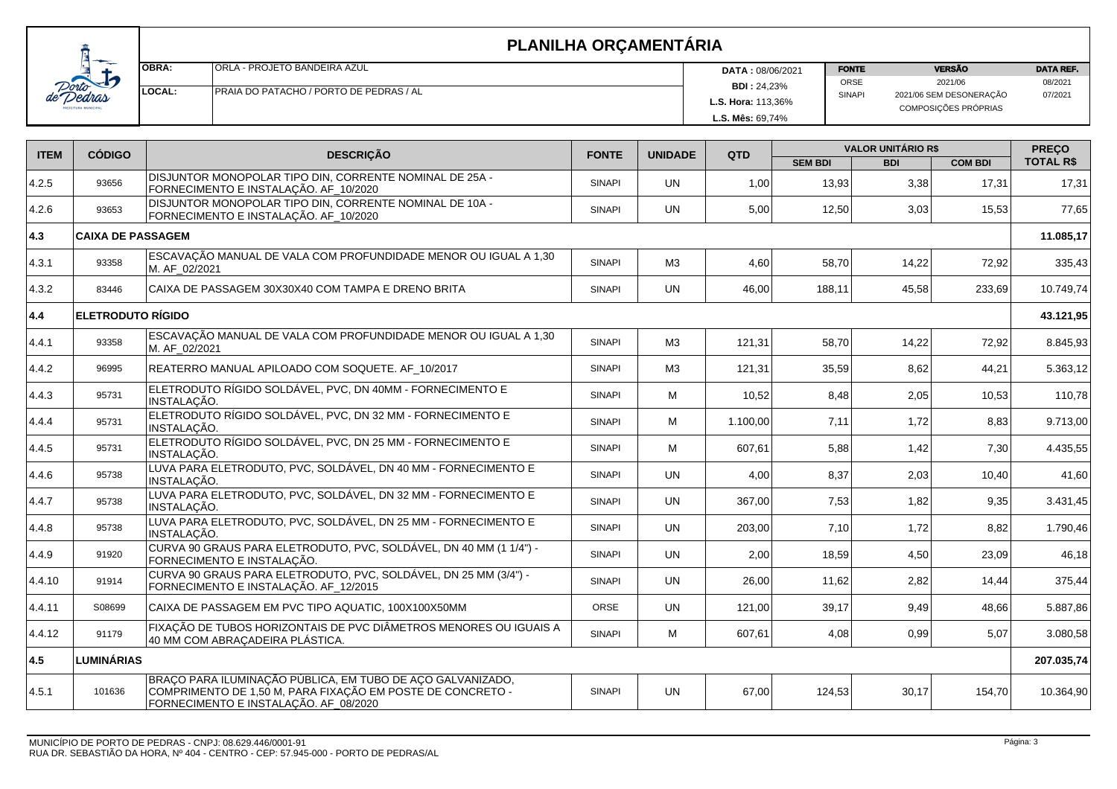| <b>OBRA:</b> | IORLA - PROJETO BANDEIRA AZUL                   | <b>DATA: 08/06/2021</b>   | <b>FONTE</b>  | <b>VERSÃO</b>                                   | <b>DATA REF.</b> |
|--------------|-------------------------------------------------|---------------------------|---------------|-------------------------------------------------|------------------|
|              |                                                 | <b>BDI: 24.23%</b>        | ORSE          | 2021/06                                         | 08/2021          |
| LOCAL:       | <b>IPRAIA DO PATACHO / PORTO DE PEDRAS / AL</b> | <b>L.S. Hora: 113.36%</b> | <b>SINAPI</b> | 2021/06 SEM DESONERAÇÃO<br>COMPOSIÇÕES PRÓPRIAS | 07/2021          |
|              |                                                 | <b>L.S. Mês: 69,74%</b>   |               |                                                 |                  |

| <b>ITEM</b>   | <b>CÓDIGO</b>            | <b>DESCRIÇÃO</b>                                                                                                                                                  | <b>FONTE</b>  | <b>UNIDADE</b> | QTD      | <b>VALOR UNITÁRIO R\$</b> |            |                | <b>PREÇO</b>     |
|---------------|--------------------------|-------------------------------------------------------------------------------------------------------------------------------------------------------------------|---------------|----------------|----------|---------------------------|------------|----------------|------------------|
|               |                          |                                                                                                                                                                   |               |                |          | <b>SEM BDI</b>            | <b>BDI</b> | <b>COM BDI</b> | <b>TOTAL R\$</b> |
| 4.2.5         | 93656                    | DISJUNTOR MONOPOLAR TIPO DIN, CORRENTE NOMINAL DE 25A -<br>FORNECIMENTO E INSTALAÇÃO. AF_10/2020                                                                  | <b>SINAPI</b> | <b>UN</b>      | 1,00     | 13,93                     | 3,38       | 17,31          | 17,31            |
| 4.2.6         | 93653                    | DISJUNTOR MONOPOLAR TIPO DIN, CORRENTE NOMINAL DE 10A -<br>FORNECIMENTO E INSTALAÇÃO. AF_10/2020                                                                  | <b>SINAPI</b> | <b>UN</b>      | 5,00     | 12,50                     | 3,03       | 15,53          | 77,65            |
| $ 4.3\rangle$ | <b>CAIXA DE PASSAGEM</b> |                                                                                                                                                                   |               |                |          |                           |            |                | 11.085,17        |
| 4.3.1         | 93358                    | ESCAVAÇÃO MANUAL DE VALA COM PROFUNDIDADE MENOR OU IGUAL A 1,30<br>M. AF_02/2021                                                                                  | <b>SINAPI</b> | M3             | 4,60     | 58,70                     | 14,22      | 72,92          | 335,43           |
| 4.3.2         | 83446                    | CAIXA DE PASSAGEM 30X30X40 COM TAMPA E DRENO BRITA                                                                                                                | <b>SINAPI</b> | <b>UN</b>      | 46,00    | 188,11                    | 45,58      | 233,69         | 10.749,74        |
| 4.4           | <b>ELETRODUTO RÍGIDO</b> |                                                                                                                                                                   |               |                |          |                           |            |                | 43.121,95        |
| 4.4.1         | 93358                    | ESCAVAÇÃO MANUAL DE VALA COM PROFUNDIDADE MENOR OU IGUAL A 1,30<br>M. AF 02/2021                                                                                  | <b>SINAPI</b> | M3             | 121,31   | 58,70                     | 14,22      | 72,92          | 8.845,93         |
| 4.4.2         | 96995                    | REATERRO MANUAL APILOADO COM SOQUETE. AF_10/2017                                                                                                                  | <b>SINAPI</b> | M3             | 121,31   | 35,59                     | 8,62       | 44,21          | 5.363,12         |
| 4.4.3         | 95731                    | ELETRODUTO RÍGIDO SOLDÁVEL, PVC, DN 40MM - FORNECIMENTO E<br>INSTALAÇÃO.                                                                                          | <b>SINAPI</b> | м              | 10,52    | 8,48                      | 2,05       | 10,53          | 110,78           |
| 4.4.4         | 95731                    | ELETRODUTO RÍGIDO SOLDÁVEL, PVC, DN 32 MM - FORNECIMENTO E<br>INSTALAÇÃO.                                                                                         | <b>SINAPI</b> | M              | 1.100,00 | 7.11                      | 1,72       | 8,83           | 9.713,00         |
| 4.4.5         | 95731                    | ELETRODUTO RÍGIDO SOLDÁVEL, PVC, DN 25 MM - FORNECIMENTO E<br>INSTALAÇÃO.                                                                                         | <b>SINAPI</b> | M              | 607.61   | 5,88                      | 1,42       | 7,30           | 4.435,55         |
| 4.4.6         | 95738                    | LUVA PARA ELETRODUTO, PVC, SOLDÁVEL, DN 40 MM - FORNECIMENTO E<br>INSTALAÇÃO.                                                                                     | <b>SINAPI</b> | <b>UN</b>      | 4,00     | 8,37                      | 2,03       | 10,40          | 41,60            |
| 4.4.7         | 95738                    | LUVA PARA ELETRODUTO, PVC, SOLDÁVEL, DN 32 MM - FORNECIMENTO E<br>INSTALACÃO.                                                                                     | <b>SINAPI</b> | <b>UN</b>      | 367,00   | 7,53                      | 1,82       | 9,35           | 3.431,45         |
| 4.4.8         | 95738                    | LUVA PARA ELETRODUTO, PVC, SOLDÁVEL, DN 25 MM - FORNECIMENTO E<br>INSTALAÇÃO.                                                                                     | <b>SINAPI</b> | <b>UN</b>      | 203,00   | 7,10                      | 1,72       | 8,82           | 1.790,46         |
| 4.4.9         | 91920                    | CURVA 90 GRAUS PARA ELETRODUTO, PVC, SOLDÁVEL, DN 40 MM (1 1/4") -<br>FORNECIMENTO E INSTALAÇÃO.                                                                  | <b>SINAPI</b> | <b>UN</b>      | 2,00     | 18,59                     | 4,50       | 23,09          | 46,18            |
| 4.4.10        | 91914                    | CURVA 90 GRAUS PARA ELETRODUTO, PVC, SOLDÁVEL, DN 25 MM (3/4") -<br>FORNECIMENTO E INSTALAÇÃO. AF_12/2015                                                         | <b>SINAPI</b> | <b>UN</b>      | 26,00    | 11,62                     | 2,82       | 14,44          | 375,44           |
| 4.4.11        | S08699                   | CAIXA DE PASSAGEM EM PVC TIPO AQUATIC, 100X100X50MM                                                                                                               | ORSE          | <b>UN</b>      | 121,00   | 39,17                     | 9,49       | 48,66          | 5.887,86         |
| 4.4.12        | 91179                    | FIXAÇÃO DE TUBOS HORIZONTAIS DE PVC DIÂMETROS MENORES OU IGUAIS A<br>40 MM COM ABRAÇADEIRA PLÁSTICA.                                                              | <b>SINAPI</b> | M              | 607,61   | 4,08                      | 0,99       | 5,07           | 3.080,58         |
| 4.5           | <b>LUMINÁRIAS</b>        |                                                                                                                                                                   |               |                |          |                           |            |                | 207.035,74       |
| 4.5.1         | 101636                   | BRAÇO PARA ILUMINAÇÃO PÚBLICA, EM TUBO DE AÇO GALVANIZADO,<br>COMPRIMENTO DE 1,50 M, PARA FIXAÇÃO EM POSTE DE CONCRETO -<br>FORNECIMENTO E INSTALAÇÃO. AF_08/2020 | <b>SINAPI</b> | <b>UN</b>      | 67,00    | 124,53                    | 30,17      | 154,70         | 10.364,90        |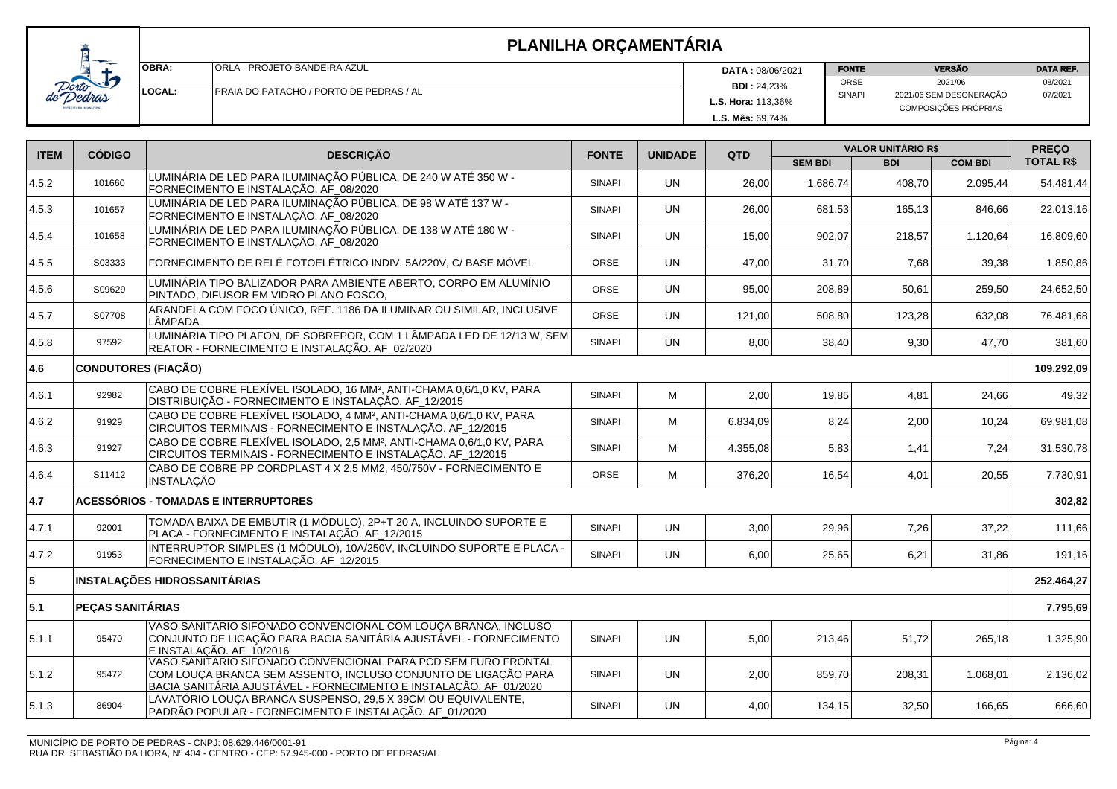| <i>norto</i><br>Dedras<br>d |
|-----------------------------|
|-----------------------------|

| OBRA.  | <b>ORLA - PROJETO BANDEIRA AZUL</b>     | <b>DATA: 08/06/2021</b>   | <b>FONTE</b>  | <b>VERSÃO</b>                                   | <b>DATA REF.</b> |
|--------|-----------------------------------------|---------------------------|---------------|-------------------------------------------------|------------------|
|        |                                         | <b>BDI: 24,23%</b>        | <b>ORSE</b>   | 2021/06                                         | 08/2021          |
| LOCAL: | PRAIA DO PATACHO / PORTO DE PEDRAS / AL | <b>L.S. Hora: 113,36%</b> | <b>SINAPI</b> | 2021/06 SEM DESONERAÇÃO<br>COMPOSIÇÕES PRÓPRIAS | 07/2021          |
|        |                                         | L.S. Mês: 69.74%          |               |                                                 |                  |

| <b>ITEM</b> | <b>CÓDIGO</b>              | <b>DESCRIÇÃO</b>                                                                                                                                                                                      | <b>FONTE</b><br><b>UNIDADE</b> |           | QTD      | <b>VALOR UNITÁRIO R\$</b> |            |                | <b>PREÇO</b>     |
|-------------|----------------------------|-------------------------------------------------------------------------------------------------------------------------------------------------------------------------------------------------------|--------------------------------|-----------|----------|---------------------------|------------|----------------|------------------|
|             |                            |                                                                                                                                                                                                       |                                |           |          | <b>SEM BDI</b>            | <b>BDI</b> | <b>COM BDI</b> | <b>TOTAL R\$</b> |
| 4.5.2       | 101660                     | LUMINÁRIA DE LED PARA ILUMINAÇÃO PÚBLICA, DE 240 W ATÉ 350 W -<br>FORNECIMENTO E INSTALAÇÃO. AF_08/2020                                                                                               | <b>SINAPI</b>                  | <b>UN</b> | 26,00    | 1.686.74                  | 408.70     | 2.095,44       | 54.481,44        |
| 4.5.3       | 101657                     | LUMINÁRIA DE LED PARA ILUMINAÇÃO PÚBLICA, DE 98 W ATÉ 137 W -<br>FORNECIMENTO E INSTALAÇÃO. AF_08/2020                                                                                                | <b>SINAPI</b>                  | <b>UN</b> | 26,00    | 681,53                    | 165,13     | 846,66         | 22.013,16        |
| 4.5.4       | 101658                     | LUMINÁRIA DE LED PARA ILUMINAÇÃO PÚBLICA, DE 138 W ATÉ 180 W -<br>FORNECIMENTO E INSTALAÇÃO. AF_08/2020                                                                                               | <b>SINAPI</b>                  | <b>UN</b> | 15,00    | 902.07                    | 218,57     | 1.120.64       | 16.809,60        |
| 4.5.5       | S03333                     | FORNECIMENTO DE RELÉ FOTOELÉTRICO INDIV. 5A/220V, C/ BASE MÓVEL                                                                                                                                       | <b>ORSE</b>                    | <b>UN</b> | 47.00    | 31.70                     | 7,68       | 39,38          | 1.850,86         |
| 4.5.6       | S09629                     | LUMINÁRIA TIPO BALIZADOR PARA AMBIENTE ABERTO, CORPO EM ALUMÍNIO<br>PINTADO, DIFUSOR EM VIDRO PLANO FOSCO,                                                                                            | ORSE                           | <b>UN</b> | 95,00    | 208,89                    | 50,61      | 259,50         | 24.652,50        |
| 4.5.7       | S07708                     | ARANDELA COM FOCO ÚNICO, REF. 1186 DA ILUMINAR OU SIMILAR, INCLUSIVE<br>LÂMPADA                                                                                                                       | ORSE                           | <b>UN</b> | 121,00   | 508,80                    | 123,28     | 632,08         | 76.481,68        |
| 4.5.8       | 97592                      | LUMINÁRIA TIPO PLAFON, DE SOBREPOR, COM 1 LÂMPADA LED DE 12/13 W, SEM<br>REATOR - FORNECIMENTO E INSTALAÇÃO. AF_02/2020                                                                               | <b>SINAPI</b>                  | <b>UN</b> | 8,00     | 38,40                     | 9,30       | 47,70          | 381,60           |
| 4.6         | <b>CONDUTORES (FIAÇÃO)</b> |                                                                                                                                                                                                       |                                |           |          |                           |            |                | 109.292,09       |
| 4.6.1       | 92982                      | CABO DE COBRE FLEXÍVEL ISOLADO, 16 MM <sup>2</sup> , ANTI-CHAMA 0,6/1,0 KV, PARA<br>DISTRIBUIÇÃO - FORNECIMENTO E INSTALAÇÃO. AF_12/2015                                                              | <b>SINAPI</b>                  | м         | 2,00     | 19,85                     | 4,81       | 24,66          | 49,32            |
| 4.6.2       | 91929                      | CABO DE COBRE FLEXÍVEL ISOLADO, 4 MM <sup>2</sup> , ANTI-CHAMA 0,6/1,0 KV, PARA<br>CIRCUITOS TERMINAIS - FORNECIMENTO E INSTALAÇÃO. AF_12/2015                                                        | <b>SINAPI</b>                  | M         | 6.834,09 | 8,24                      | 2,00       | 10,24          | 69.981,08        |
| 4.6.3       | 91927                      | CABO DE COBRE FLEXÍVEL ISOLADO, 2,5 MM <sup>2</sup> , ANTI-CHAMA 0,6/1,0 KV, PARA<br>CIRCUITOS TERMINAIS - FORNECIMENTO E INSTALAÇÃO. AF_12/2015                                                      | <b>SINAPI</b>                  | M         | 4.355.08 | 5,83                      | 1,41       | 7.24           | 31.530,78        |
| 4.6.4       | S11412                     | CABO DE COBRE PP CORDPLAST 4 X 2.5 MM2, 450/750V - FORNECIMENTO E<br><b>INSTALAÇÃO</b>                                                                                                                | <b>ORSE</b>                    | м         | 376,20   | 16,54                     | 4,01       | 20,55          | 7.730,91         |
| 4.7         |                            | <b>ACESSÓRIOS - TOMADAS E INTERRUPTORES</b>                                                                                                                                                           |                                |           |          |                           |            |                | 302,82           |
| 4.7.1       | 92001                      | TOMADA BAIXA DE EMBUTIR (1 MÓDULO), 2P+T 20 A, INCLUINDO SUPORTE E<br>PLACA - FORNECIMENTO E INSTALAÇÃO. AF_12/2015                                                                                   | <b>SINAPI</b>                  | <b>UN</b> | 3,00     | 29,96                     | 7,26       | 37,22          | 111,66           |
| 4.7.2       | 91953                      | INTERRUPTOR SIMPLES (1 MÓDULO), 10A/250V, INCLUINDO SUPORTE E PLACA -<br>FORNECIMENTO E INSTALAÇÃO. AF_12/2015                                                                                        | <b>SINAPI</b>                  | <b>UN</b> | 6,00     | 25,65                     | 6,21       | 31,86          | 191,16           |
| 5           |                            | <b>INSTALAÇÕES HIDROSSANITÁRIAS</b>                                                                                                                                                                   |                                |           |          |                           |            |                | 252.464,27       |
| 5.1         | PEÇAS SANITÁRIAS           |                                                                                                                                                                                                       |                                |           |          |                           |            |                | 7.795,69         |
| 5.1.1       | 95470                      | VASO SANITARIO SIFONADO CONVENCIONAL COM LOUÇA BRANCA, INCLUSO<br>CONJUNTO DE LIGAÇÃO PARA BACIA SANITÁRIA AJUSTÂVEL - FORNECIMENTO<br>E INSTALACÃO. AF 10/2016                                       | <b>SINAPI</b>                  | <b>UN</b> | 5,00     | 213,46                    | 51,72      | 265,18         | 1.325,90         |
| 5.1.2       | 95472                      | VASO SANITARIO SIFONADO CONVENCIONAL PARA PCD SEM FURO FRONTAL<br>COM LOUÇA BRANCA SEM ASSENTO, INCLUSO CONJUNTO DE LIGAÇÃO PARA<br>BACIA SANITÁRIA AJUSTÁVEL - FORNECIMENTO E INSTALAÇÃO. AF_01/2020 | <b>SINAPI</b>                  | <b>UN</b> | 2,00     | 859,70                    | 208,31     | 1.068,01       | 2.136,02         |
| 5.1.3       | 86904                      | LAVATÓRIO LOUÇA BRANCA SUSPENSO, 29,5 X 39CM OU EQUIVALENTE,<br>PADRÃO POPULAR - FORNECIMENTO E INSTALAÇÃO. AF_01/2020                                                                                | <b>SINAPI</b>                  | UN        | 4,00     | 134,15                    | 32,50      | 166,65         | 666,60           |
|             |                            |                                                                                                                                                                                                       |                                |           |          |                           |            |                |                  |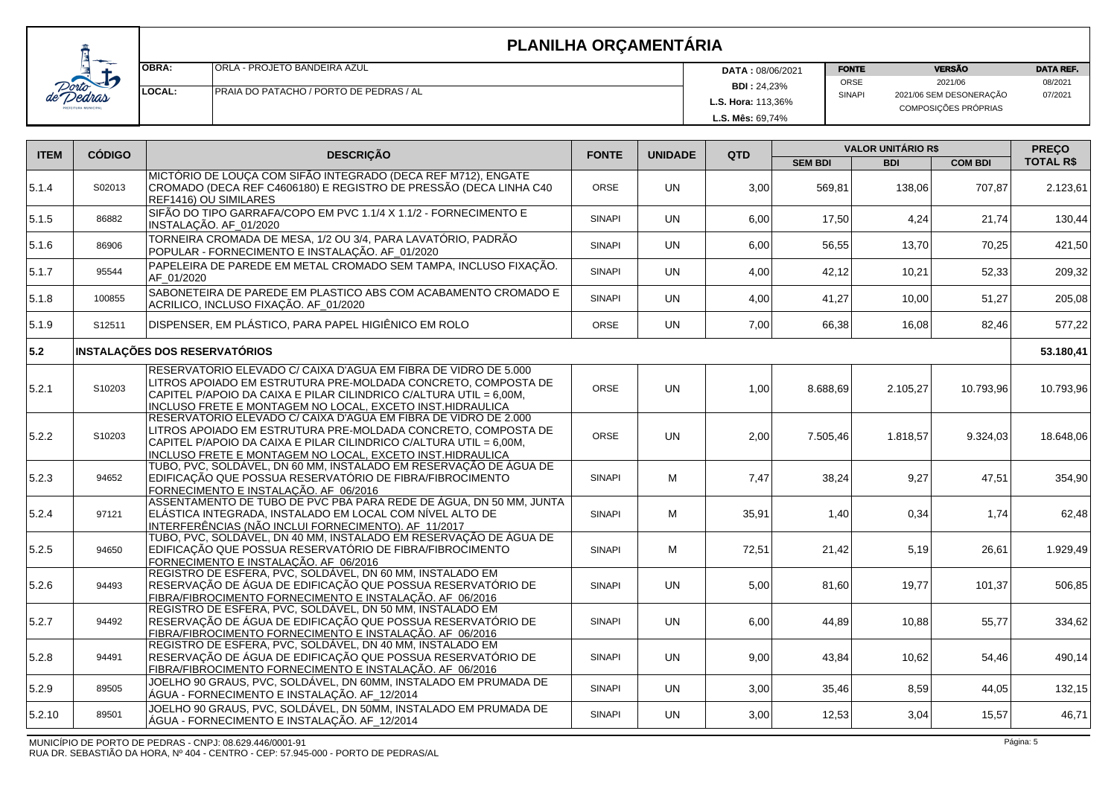| <b>IOBRA:</b> | IORLA - PROJETO BANDEIRA AZUL                  | <b>DATA: 08/06/2021</b>   | <b>FONTE</b>  | <b>VERSÃO</b>           |         |
|---------------|------------------------------------------------|---------------------------|---------------|-------------------------|---------|
|               |                                                | <b>BDI: 24,23%</b>        | <b>ORSE</b>   | 2021/06                 | 08/2021 |
| LOCAL:        | <b>PRAJA DO PATACHO / PORTO DE PEDRAS / AL</b> |                           | <b>SINAPI</b> | 2021/06 SEM DESONERAÇÃO | 07/2021 |
|               |                                                | <b>L.S. Hora: 113,36%</b> |               | COMPOSIÇÕES PRÓPRIAS    |         |
|               |                                                | <b>L.S. Mês: 69.74%</b>   |               |                         |         |

| <b>ITEM</b> | <b>CÓDIGO</b> | <b>DESCRIÇÃO</b>                                                                                                                                                                                                                                                    | <b>FONTE</b>  | <b>UNIDADE</b> | QTD   | <b>VALOR UNITÁRIO R\$</b> |            |                | <b>PRECO</b>     |
|-------------|---------------|---------------------------------------------------------------------------------------------------------------------------------------------------------------------------------------------------------------------------------------------------------------------|---------------|----------------|-------|---------------------------|------------|----------------|------------------|
|             |               |                                                                                                                                                                                                                                                                     |               |                |       | <b>SEM BDI</b>            | <b>BDI</b> | <b>COM BDI</b> | <b>TOTAL R\$</b> |
| 5.1.4       | S02013        | MICTÓRIO DE LOUÇA COM SIFÃO INTEGRADO (DECA REF M712), ENGATE<br>CROMADO (DECA REF C4606180) E REGISTRO DE PRESSÃO (DECA LINHA C40<br>REF1416) OU SIMILARES                                                                                                         | ORSE          | <b>UN</b>      | 3,00  | 569,81                    | 138,06     | 707,87         | 2.123,61         |
| 5.1.5       | 86882         | SIFÃO DO TIPO GARRAFA/COPO EM PVC 1.1/4 X 1.1/2 - FORNECIMENTO E<br>INSTALAÇÃO. AF_01/2020                                                                                                                                                                          | <b>SINAPI</b> | <b>UN</b>      | 6,00  | 17,50                     | 4,24       | 21,74          | 130,44           |
| 5.1.6       | 86906         | TORNEIRA CROMADA DE MESA, 1/2 OU 3/4, PARA LAVATÓRIO, PADRÃO<br>POPULAR - FORNECIMENTO E INSTALAÇÃO. AF_01/2020                                                                                                                                                     | <b>SINAPI</b> | <b>UN</b>      | 6,00  | 56,55                     | 13,70      | 70,25          | 421,50           |
| 5.1.7       | 95544         | PAPELEIRA DE PAREDE EM METAL CROMADO SEM TAMPA, INCLUSO FIXAÇÃO.<br>AF 01/2020                                                                                                                                                                                      | <b>SINAPI</b> | <b>UN</b>      | 4,00  | 42,12                     | 10,21      | 52,33          | 209,32           |
| 5.1.8       | 100855        | SABONETEIRA DE PAREDE EM PLASTICO ABS COM ACABAMENTO CROMADO E<br>ACRILICO, INCLUSO FIXAÇÃO. AF_01/2020                                                                                                                                                             | <b>SINAPI</b> | <b>UN</b>      | 4,00  | 41,27                     | 10,00      | 51,27          | 205,08           |
| 5.1.9       | S12511        | DISPENSER, EM PLÁSTICO, PARA PAPEL HIGIÊNICO EM ROLO                                                                                                                                                                                                                | <b>ORSE</b>   | <b>UN</b>      | 7,00  | 66,38                     | 16,08      | 82,46          | 577,22           |
| 5.2         |               | <b>INSTALAÇÕES DOS RESERVATÓRIOS</b>                                                                                                                                                                                                                                |               |                |       |                           |            |                | 53.180,41        |
| 5.2.1       | S10203        | RESERVATORIO ELEVADO C/ CAIXA D'AGUA EM FIBRA DE VIDRO DE 5.000<br>LITROS APOIADO EM ESTRUTURA PRE-MOLDADA CONCRETO, COMPOSTA DE<br>CAPITEL P/APOIO DA CAIXA E PILAR CILINDRICO C/ALTURA UTIL = 6,00M,<br>INCLUSO FRETE E MONTAGEM NO LOCAL. EXCETO INST.HIDRAULICA | ORSE          | <b>UN</b>      | 1,00  | 8.688,69                  | 2.105,27   | 10.793,96      | 10.793,96        |
| 5.2.2       | S10203        | RESERVATORIO ELEVADO C/ CAIXA D'AGUA EM FIBRA DE VIDRO DE 2.000<br>LITROS APOIADO EM ESTRUTURA PRE-MOLDADA CONCRETO, COMPOSTA DE<br>CAPITEL P/APOIO DA CAIXA E PILAR CILINDRICO C/ALTURA UTIL = 6,00M,<br>INCLUSO FRETE E MONTAGEM NO LOCAL, EXCETO INST.HIDRAULICA | <b>ORSE</b>   | <b>UN</b>      | 2,00  | 7.505,46                  | 1.818,57   | 9.324,03       | 18.648,06        |
| 5.2.3       | 94652         | TUBO, PVC, SOLDÁVEL, DN 60 MM, INSTALADO EM RESERVAÇÃO DE ÁGUA DE<br>EDIFICAÇÃO QUE POSSUA RESERVATÓRIO DE FIBRA/FIBROCIMENTO<br>FORNECIMENTO E INSTALAÇÃO. AF_06/2016                                                                                              | <b>SINAPI</b> | M              | 7,47  | 38,24                     | 9,27       | 47,51          | 354,90           |
| 15.2.4      | 97121         | ASSENTAMENTO DE TUBO DE PVC PBA PARA REDE DE ÁGUA, DN 50 MM, JUNTA<br>ELÁSTICA INTEGRADA, INSTALADO EM LOCAL COM NÍVEL ALTO DE<br>INTERFERÊNCIAS (NÃO INCLUI FORNECIMENTO). AF_11/2017                                                                              | <b>SINAPI</b> | M              | 35,91 | 1,40                      | 0,34       | 1,74           | 62,48            |
| 5.2.5       | 94650         | TUBO, PVC, SOLDÁVEL, DN 40 MM, INSTALADO EM RESERVAÇÃO DE ÁGUA DE<br>EDIFICAÇÃO QUE POSSUA RESERVATÓRIO DE FIBRA/FIBROCIMENTO<br>FORNECIMENTO E INSTALAÇÃO. AF_06/2016                                                                                              | <b>SINAPI</b> | M              | 72,51 | 21,42                     | 5,19       | 26,61          | 1.929,49         |
| 5.2.6       | 94493         | REGISTRO DE ESFERA, PVC, SOLDÁVEL, DN 60 MM, INSTALADO EM<br>RESERVAÇÃO DE ÁGUA DE EDIFICAÇÃO QUE POSSUA RESERVATÓRIO DE<br>FIBRA/FIBROCIMENTO FORNECIMENTO E INSTALAÇÃO. AF_06/2016                                                                                | <b>SINAPI</b> | <b>UN</b>      | 5,00  | 81,60                     | 19,77      | 101,37         | 506,85           |
| 5.2.7       | 94492         | REGISTRO DE ESFERA, PVC, SOLDÁVEL, DN 50 MM, INSTALADO EM<br>RESERVAÇÃO DE ÁGUA DE EDIFICAÇÃO QUE POSSUA RESERVATÓRIO DE<br>FIBRA/FIBROCIMENTO FORNECIMENTO E INSTALACÃO, AF 06/2016                                                                                | <b>SINAPI</b> | <b>UN</b>      | 6,00  | 44,89                     | 10,88      | 55,77          | 334,62           |
| 5.2.8       | 94491         | REGISTRO DE ESFERA, PVC, SOLDÁVEL, DN 40 MM, INSTALADO EM<br>RESERVAÇÃO DE ÁGUA DE EDIFICAÇÃO QUE POSSUA RESERVATÓRIO DE<br>FIBRA/FIBROCIMENTO FORNECIMENTO E INSTALAÇÃO. AF_06/2016                                                                                | <b>SINAPI</b> | <b>UN</b>      | 9,00  | 43,84                     | 10,62      | 54,46          | 490,14           |
| 5.2.9       | 89505         | JOELHO 90 GRAUS, PVC, SOLDÁVEL, DN 60MM, INSTALADO EM PRUMADA DE<br>ÁGUA - FORNECIMENTO E INSTALAÇÃO. AF_12/2014                                                                                                                                                    | <b>SINAPI</b> | <b>UN</b>      | 3,00  | 35,46                     | 8,59       | 44,05          | 132,15           |
| 5.2.10      | 89501         | JOELHO 90 GRAUS, PVC, SOLDÁVEL, DN 50MM, INSTALADO EM PRUMADA DE<br>ÁGUA - FORNECIMENTO E INSTALAÇÃO. AF_12/2014                                                                                                                                                    | <b>SINAPI</b> | <b>UN</b>      | 3,00  | 12,53                     | 3,04       | 15,57          | 46,71            |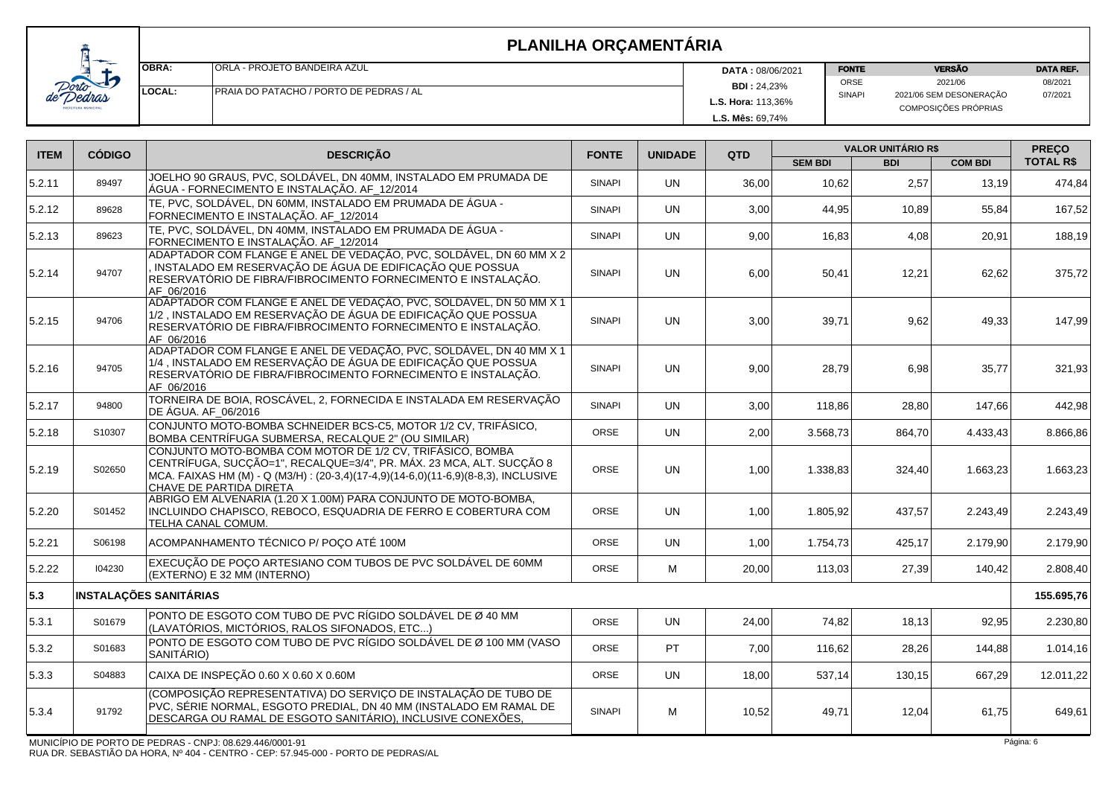

| <b>OBRA:</b>   | IORLA - PROJETO BANDEIRA AZUL                   | <b>DATA: 08/06/2021</b>   | <b>FONTE</b>  | <b>VERSÃO</b>                                   |         |
|----------------|-------------------------------------------------|---------------------------|---------------|-------------------------------------------------|---------|
|                |                                                 | <b>BDI</b> : 24,23%       | <b>ORSE</b>   | 2021/06                                         | 08/2021 |
| <b>ILOCAL:</b> | <b>IPRAIA DO PATACHO / PORTO DE PEDRAS / AL</b> | <b>L.S. Hora: 113.36%</b> | <b>SINAPI</b> | 2021/06 SEM DESONERAÇÃO<br>COMPOSIÇÕES PRÓPRIAS | 07/2021 |
|                |                                                 | L.S. Mês: 69,74%          |               |                                                 |         |

| <b>ITEM</b> | <b>CÓDIGO</b> | <b>DESCRIÇÃO</b>                                                                                                                                                                                                                                   | <b>FONTE</b>  | <b>UNIDADE</b> | QTD   | <b>VALOR UNITÁRIO R\$</b> | <b>PRECO</b> |                |                  |
|-------------|---------------|----------------------------------------------------------------------------------------------------------------------------------------------------------------------------------------------------------------------------------------------------|---------------|----------------|-------|---------------------------|--------------|----------------|------------------|
|             |               |                                                                                                                                                                                                                                                    |               |                |       | <b>SEM BDI</b>            | <b>BDI</b>   | <b>COM BDI</b> | <b>TOTAL R\$</b> |
| 5.2.11      | 89497         | JOELHO 90 GRAUS, PVC, SOLDÁVEL, DN 40MM, INSTALADO EM PRUMADA DE<br>ÁGUA - FORNECIMENTO E INSTALAÇÃO. AF_12/2014                                                                                                                                   | <b>SINAPI</b> | <b>UN</b>      | 36,00 | 10,62                     | 2,57         | 13,19          | 474,84           |
| 5.2.12      | 89628         | TE, PVC, SOLDÁVEL, DN 60MM, INSTALADO EM PRUMADA DE ÁGUA -<br>FORNECIMENTO E INSTALAÇÃO. AF_12/2014                                                                                                                                                | <b>SINAPI</b> | <b>UN</b>      | 3,00  | 44,95                     | 10,89        | 55,84          | 167,52           |
| 5.2.13      | 89623         | TE, PVC, SOLDÁVEL, DN 40MM, INSTALADO EM PRUMADA DE ÁGUA -<br>FORNECIMENTO E INSTALAÇÃO. AF_12/2014                                                                                                                                                | <b>SINAPI</b> | <b>UN</b>      | 9,00  | 16,83                     | 4,08         | 20,91          | 188,19           |
| 5.2.14      | 94707         | ADAPTADOR COM FLANGE E ANEL DE VEDAÇÃO, PVC, SOLDÁVEL, DN 60 MM X 2<br>, INSTALADO EM RESERVAÇÃO DE ÁGUA DE EDIFICAÇÃO QUE POSSUA<br>RESERVATÓRIO DE FIBRA/FIBROCIMENTO FORNECIMENTO E INSTALAÇÃO.<br>AF 06/2016                                   | <b>SINAPI</b> | <b>UN</b>      | 6,00  | 50,41                     | 12,21        | 62,62          | 375,72           |
| 5.2.15      | 94706         | ADAPTADOR COM FLANGE E ANEL DE VEDAÇÃO, PVC, SOLDÁVEL, DN 50 MM X 1<br>1/2, INSTALADO EM RESERVAÇÃO DE ÁGUA DE EDIFICAÇÃO QUE POSSUA<br>RESERVATÓRIO DE FIBRA/FIBROCIMENTO FORNECIMENTO E INSTALAÇÃO.<br>AF 06/2016                                | <b>SINAPI</b> | <b>UN</b>      | 3,00  | 39,71                     | 9,62         | 49,33          | 147,99           |
| 5.2.16      | 94705         | ADAPTADOR COM FLANGE E ANEL DE VEDAÇÃO, PVC, SOLDÁVEL, DN 40 MM X 1<br>1/4, INSTALADO EM RESERVAÇÃO DE ÁGUA DE EDIFICAÇÃO QUE POSSUA<br>RESERVATÓRIO DE FIBRA/FIBROCIMENTO FORNECIMENTO E INSTALAÇÃO.<br>AF 06/2016                                | <b>SINAPI</b> | <b>UN</b>      | 9,00  | 28,79                     | 6,98         | 35,77          | 321,93           |
| 5.2.17      | 94800         | TORNEIRA DE BOIA, ROSCÁVEL, 2, FORNECIDA E INSTALADA EM RESERVAÇÃO<br>DE ÁGUA. AF_06/2016                                                                                                                                                          | <b>SINAPI</b> | <b>UN</b>      | 3,00  | 118,86                    | 28,80        | 147.66         | 442,98           |
| 5.2.18      | S10307        | CONJUNTO MOTO-BOMBA SCHNEIDER BCS-C5, MOTOR 1/2 CV, TRIFÁSICO,<br>BOMBA CENTRÍFUGA SUBMERSA, RECALQUE 2" (OU SIMILAR)                                                                                                                              | <b>ORSE</b>   | <b>UN</b>      | 2,00  | 3.568,73                  | 864,70       | 4.433,43       | 8.866,86         |
| 5.2.19      | S02650        | CONJUNTO MOTO-BOMBA COM MOTOR DE 1/2 CV, TRIFÁSICO, BOMBA<br>CENTRÍFUGA, SUCÇÃO=1", RECALQUE=3/4", PR. MÁX. 23 MCA, ALT. SUCÇÃO 8<br>MCA. FAIXAS HM (M) - Q (M3/H) : (20-3,4)(17-4,9)(14-6,0)(11-6,9)(8-8,3), INCLUSIVE<br>CHAVE DE PARTIDA DIRETA | ORSE          | <b>UN</b>      | 1,00  | 1.338,83                  | 324,40       | 1.663,23       | 1.663,23         |
| 5.2.20      | S01452        | ABRIGO EM ALVENARIA (1.20 X 1.00M) PARA CONJUNTO DE MOTO-BOMBA,<br>INCLUINDO CHAPISCO, REBOCO, ESQUADRIA DE FERRO E COBERTURA COM<br>TELHA CANAL COMUM.                                                                                            | <b>ORSE</b>   | <b>UN</b>      | 1,00  | 1.805,92                  | 437,57       | 2.243,49       | 2.243,49         |
| 5.2.21      | S06198        | ACOMPANHAMENTO TÉCNICO P/ POCO ATÉ 100M                                                                                                                                                                                                            | <b>ORSE</b>   | <b>UN</b>      | 1.00  | 1.754.73                  | 425.17       | 2.179.90       | 2.179.90         |
| 5.2.22      | 104230        | EXECUÇÃO DE POCO ARTESIANO COM TUBOS DE PVC SOLDÁVEL DE 60MM<br>(EXTERNO) E 32 MM (INTERNO)                                                                                                                                                        | <b>ORSE</b>   | M              | 20,00 | 113,03                    | 27,39        | 140,42         | 2.808,40         |
| 5.3         |               | <b>INSTALAÇÕES SANITÁRIAS</b>                                                                                                                                                                                                                      |               |                |       |                           |              |                | 155.695,76       |
| 5.3.1       | S01679        | PONTO DE ESGOTO COM TUBO DE PVC RÍGIDO SOLDÁVEL DE Ø 40 MM<br>(LAVATÓRIOS, MICTÓRIOS, RALOS SIFONADOS, ETC)                                                                                                                                        | ORSE          | <b>UN</b>      | 24,00 | 74,82                     | 18,13        | 92,95          | 2.230,80         |
| 5.3.2       | S01683        | PONTO DE ESGOTO COM TUBO DE PVC RÍGIDO SOLDÁVEL DE Ø 100 MM (VASO<br>SANITÁRIO)                                                                                                                                                                    | <b>ORSE</b>   | <b>PT</b>      | 7,00  | 116,62                    | 28,26        | 144,88         | 1.014, 16        |
| 5.3.3       | S04883        | CAIXA DE INSPEÇÃO 0.60 X 0.60 X 0.60M                                                                                                                                                                                                              | ORSE          | <b>UN</b>      | 18,00 | 537,14                    | 130,15       | 667,29         | 12.011,22        |
| 5.3.4       | 91792         | (COMPOSIÇÃO REPRESENTATIVA) DO SERVIÇO DE INSTALAÇÃO DE TUBO DE<br>PVC, SÉRIE NORMAL, ESGOTO PREDIAL, DN 40 MM (INSTALADO EM RAMAL DE<br>DESCARGA OU RAMAL DE ESGOTO SANITÁRIO), INCLUSIVE CONEXÕES,                                               | <b>SINAPI</b> | M              | 10,52 | 49,71                     | 12,04        | 61,75          | 649,61           |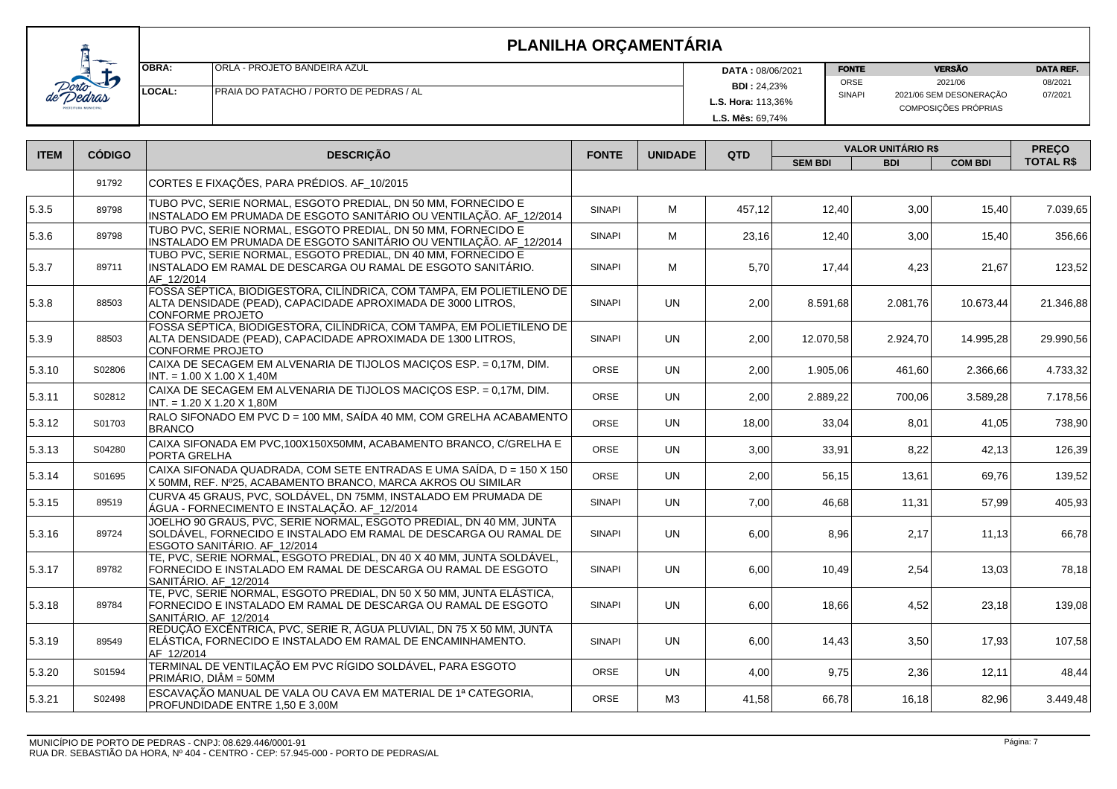| $\overline{\phantom{a}}$ | lOBRA:         | <b>ORLA - PROJETO BANDEIRA AZUL</b>             | <b>DATA: 08/06/2021</b>   | <b>VERSÃO</b><br><b>FONTE</b> |                         | <b>DATA REF.</b> |
|--------------------------|----------------|-------------------------------------------------|---------------------------|-------------------------------|-------------------------|------------------|
| И                        |                |                                                 | <b>BDI: 24,23%</b>        | ORSE                          | 2021/06                 | 08/2021          |
|                          | <b>ILOCAL:</b> | <b>IPRAIA DO PATACHO / PORTO DE PEDRAS / AL</b> |                           | <b>SINAPI</b>                 | 2021/06 SEM DESONERAÇÃO | 07/2021          |
|                          |                |                                                 | <b>L.S. Hora: 113,36%</b> |                               | COMPOSIÇÕES PRÓPRIAS    |                  |
|                          |                |                                                 | <b>L.S. Mês: 69.74%</b>   |                               |                         |                  |

| <b>ITEM</b> | <b>CÓDIGO</b> | <b>DESCRIÇÃO</b>                                                                                                                                                        | <b>FONTE</b>  | <b>UNIDADE</b> | QTD    | <b>VALOR UNITÁRIO R\$</b> |            |                | <b>PREÇO</b>     |
|-------------|---------------|-------------------------------------------------------------------------------------------------------------------------------------------------------------------------|---------------|----------------|--------|---------------------------|------------|----------------|------------------|
|             |               |                                                                                                                                                                         |               |                |        | <b>SEM BDI</b>            | <b>BDI</b> | <b>COM BDI</b> | <b>TOTAL R\$</b> |
|             | 91792         | CORTES E FIXAÇÕES, PARA PRÉDIOS. AF_10/2015                                                                                                                             |               |                |        |                           |            |                |                  |
| 15.3.5      | 89798         | TUBO PVC, SERIE NORMAL, ESGOTO PREDIAL, DN 50 MM, FORNECIDO E<br>INSTALADO EM PRUMADA DE ESGOTO SANITÁRIO OU VENTILAÇÃO. AF_12/2014                                     | <b>SINAPI</b> | м              | 457.12 | 12,40                     | 3,00       | 15,40          | 7.039,65         |
| 5.3.6       | 89798         | TUBO PVC, SERIE NORMAL, ESGOTO PREDIAL, DN 50 MM, FORNECIDO E<br>INSTALADO EM PRUMADA DE ESGOTO SANITÁRIO OU VENTILAÇÃO. AF_12/2014                                     | <b>SINAPI</b> | M              | 23,16  | 12,40                     | 3,00       | 15,40          | 356.66           |
| 5.3.7       | 89711         | TUBO PVC, SERIE NORMAL, ESGOTO PREDIAL, DN 40 MM, FORNECIDO E<br>INSTALADO EM RAMAL DE DESCARGA OU RAMAL DE ESGOTO SANITÁRIO.<br>AF 12/2014                             | <b>SINAPI</b> | M              | 5,70   | 17,44                     | 4,23       | 21,67          | 123,52           |
| 5.3.8       | 88503         | FOSSA SÉPTICA, BIODIGESTORA, CILÍNDRICA, COM TAMPA, EM POLIETILENO DE<br>ALTA DENSIDADE (PEAD), CAPACIDADE APROXIMADA DE 3000 LITROS,<br>CONFORME PROJETO               | <b>SINAPI</b> | <b>UN</b>      | 2,00   | 8.591,68                  | 2.081,76   | 10.673,44      | 21.346,88        |
| 15.3.9      | 88503         | FOSSA SÉPTICA, BIODIGESTORA, CILÍNDRICA, COM TAMPA, EM POLIETILENO DE<br>ALTA DENSIDADE (PEAD), CAPACIDADE APROXIMADA DE 1300 LITROS,<br>CONFORME PROJETO               | <b>SINAPI</b> | <b>UN</b>      | 2.00   | 12.070.58                 | 2.924.70   | 14.995,28      | 29.990,56        |
| 5.3.10      | S02806        | CAIXA DE SECAGEM EM ALVENARIA DE TIJOLOS MACIÇOS ESP. = 0,17M, DIM.<br>$ INT. = 1.00 \times 1.00 \times 1,40M$                                                          | <b>ORSE</b>   | <b>UN</b>      | 2,00   | 1.905,06                  | 461,60     | 2.366,66       | 4.733,32         |
| 5.3.11      | S02812        | CAIXA DE SECAGEM EM ALVENARIA DE TIJOLOS MACIÇOS ESP. = 0,17M, DIM.<br>$INT. = 1.20 X 1.20 X 1,80M$                                                                     | ORSE          | <b>UN</b>      | 2,00   | 2.889,22                  | 700,06     | 3.589,28       | 7.178,56         |
| 5.3.12      | S01703        | RALO SIFONADO EM PVC D = 100 MM, SAÍDA 40 MM, COM GRELHA ACABAMENTO<br><b>BRANCO</b>                                                                                    | ORSE          | <b>UN</b>      | 18,00  | 33,04                     | 8,01       | 41,05          | 738,90           |
| 5.3.13      | S04280        | CAIXA SIFONADA EM PVC, 100X150X50MM, ACABAMENTO BRANCO, C/GRELHA E<br>PORTA GRELHA                                                                                      | <b>ORSE</b>   | <b>UN</b>      | 3,00   | 33,91                     | 8,22       | 42,13          | 126,39           |
| 5.3.14      | S01695        | ∣CAIXA SIFONADA QUADRADA. COM SETE ENTRADAS E UMA SAÍDA. D = 150 X 150<br>X 50MM, REF. Nº25, ACABAMENTO BRANCO, MARCA AKROS OU SIMILAR                                  | <b>ORSE</b>   | <b>UN</b>      | 2,00   | 56,15                     | 13,61      | 69,76          | 139,52           |
| 5.3.15      | 89519         | CURVA 45 GRAUS, PVC, SOLDÁVEL, DN 75MM, INSTALADO EM PRUMADA DE<br>ÁGUA - FORNECIMENTO E INSTALAÇÃO. AF_12/2014                                                         | <b>SINAPI</b> | <b>UN</b>      | 7,00   | 46,68                     | 11,31      | 57,99          | 405,93           |
| 5.3.16      | 89724         | JOELHO 90 GRAUS, PVC, SERIE NORMAL, ESGOTO PREDIAL, DN 40 MM, JUNTA<br>SOLDÁVEL, FORNECIDO E INSTALADO EM RAMAL DE DESCARGA OU RAMAL DE<br>ESGOTO SANITÁRIO. AF 12/2014 | <b>SINAPI</b> | <b>UN</b>      | 6,00   | 8,96                      | 2,17       | 11,13          | 66,78            |
| 5.3.17      | 89782         | TE, PVC, SERIE NORMAL, ESGOTO PREDIAL, DN 40 X 40 MM, JUNTA SOLDÁVEL,<br>FORNECIDO E INSTALADO EM RAMAL DE DESCARGA OU RAMAL DE ESGOTO<br>SANITÁRIO. AF_12/2014         | <b>SINAPI</b> | UN.            | 6,00   | 10,49                     | 2,54       | 13,03          | 78,18            |
| 5.3.18      | 89784         | TE, PVC, SERIE NORMAL, ESGOTO PREDIAL, DN 50 X 50 MM, JUNTA ELÁSTICA,<br>FORNECIDO E INSTALADO EM RAMAL DE DESCARGA OU RAMAL DE ESGOTO<br>SANITÁRIO. AF 12/2014         | <b>SINAPI</b> | <b>UN</b>      | 6,00   | 18,66                     | 4,52       | 23,18          | 139,08           |
| 5.3.19      | 89549         | REDUÇÃO EXCÊNTRICA, PVC, SERIE R, ÁGUA PLUVIAL, DN 75 X 50 MM, JUNTA<br>ELÁSTICA, FORNECIDO E INSTALADO EM RAMAL DE ENCAMINHAMENTO.<br>AF 12/2014                       | <b>SINAPI</b> | <b>UN</b>      | 6,00   | 14,43                     | 3,50       | 17,93          | 107,58           |
| 5.3.20      | S01594        | TERMINAL DE VENTILAÇÃO EM PVC RÍGIDO SOLDÁVEL, PARA ESGOTO<br>PRIMÁRIO, DIÂM = 50MM                                                                                     | ORSE          | <b>UN</b>      | 4,00   | 9,75                      | 2,36       | 12,11          | 48,44            |
| 5.3.21      | S02498        | ESCAVAÇÃO MANUAL DE VALA OU CAVA EM MATERIAL DE 1ª CATEGORIA,<br>PROFUNDIDADE ENTRE 1,50 E 3,00M                                                                        | <b>ORSE</b>   | M3             | 41,58  | 66,78                     | 16, 18     | 82,96          | 3.449,48         |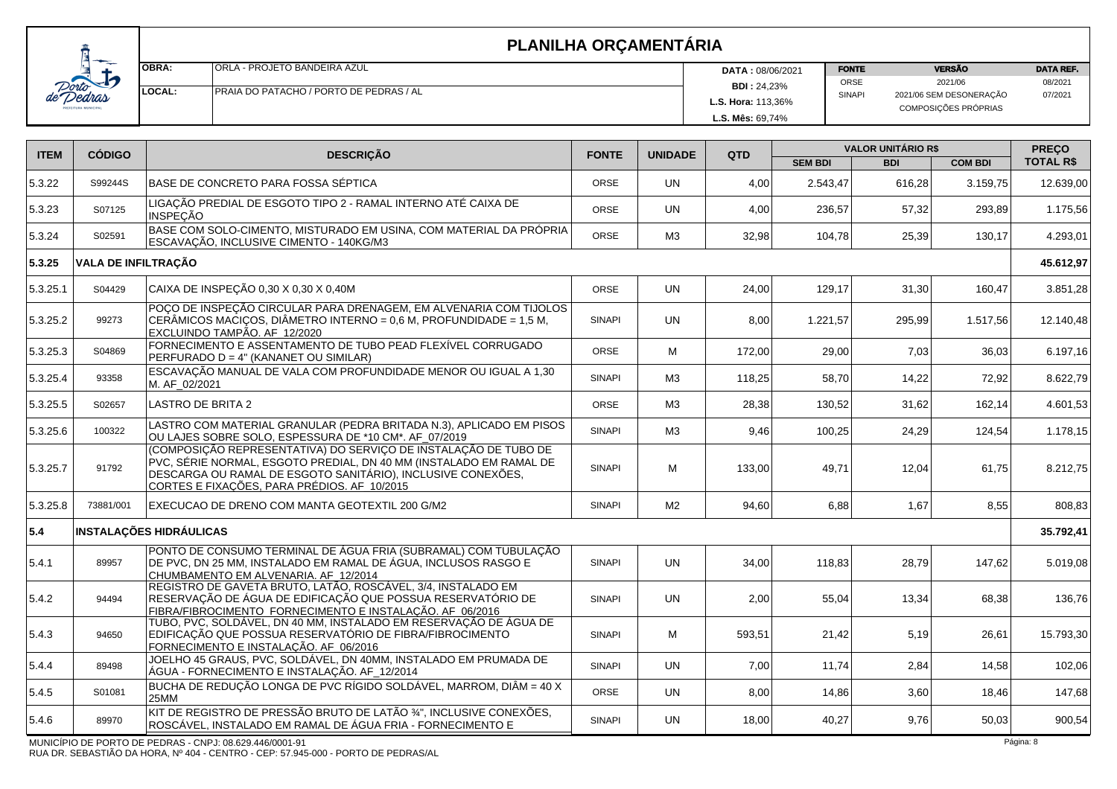| OBRA:          | <b>ORLA - PROJETO BANDEIRA AZUL</b>      | <b>DATA: 08/06/2021</b>   | <b>VERSÃO</b><br><b>FONTE</b> |                                                 | <b>DATA REF.</b> |  |
|----------------|------------------------------------------|---------------------------|-------------------------------|-------------------------------------------------|------------------|--|
|                |                                          | <b>BDI: 24,23%</b>        | ORSE                          | 2021/06                                         | 08/2021          |  |
| <b>ILOCAL:</b> | IPRAIA DO PATACHO / PORTO DE PEDRAS / AL | <b>L.S. Hora: 113,36%</b> | <b>SINAPI</b>                 | 2021/06 SEM DESONERAÇÃO<br>COMPOSIÇÕES PRÓPRIAS | 07/2021          |  |
|                |                                          | <b>L.S. Mês: 69.74%</b>   |                               |                                                 |                  |  |

| <b>ITEM</b> | <b>CÓDIGO</b>              | <b>DESCRIÇÃO</b>                                                                                                                                                                                                                                    | <b>UNIDADE</b><br><b>FONTE</b> |                | QTD    | <b>VALOR UNITÁRIO R\$</b> |            |                | <b>PREÇO</b>     |
|-------------|----------------------------|-----------------------------------------------------------------------------------------------------------------------------------------------------------------------------------------------------------------------------------------------------|--------------------------------|----------------|--------|---------------------------|------------|----------------|------------------|
|             |                            |                                                                                                                                                                                                                                                     |                                |                |        | <b>SEM BDI</b>            | <b>BDI</b> | <b>COM BDI</b> | <b>TOTAL R\$</b> |
| 5.3.22      | S99244S                    | BASE DE CONCRETO PARA FOSSA SÉPTICA                                                                                                                                                                                                                 | <b>ORSE</b>                    | <b>UN</b>      | 4,00   | 2.543.47                  | 616,28     | 3.159.75       | 12.639,00        |
| 5.3.23      | S07125                     | LIGAÇÃO PREDIAL DE ESGOTO TIPO 2 - RAMAL INTERNO ATÉ CAIXA DE<br><b>INSPEÇÃO</b>                                                                                                                                                                    | ORSE                           | <b>UN</b>      | 4,00   | 236,57                    | 57,32      | 293,89         | 1.175,56         |
| 5.3.24      | S02591                     | BASE COM SOLO-CIMENTO, MISTURADO EM USINA, COM MATERIAL DA PRÓPRIA<br>ESCAVAÇÃO, INCLUSIVE CIMENTO - 140KG/M3                                                                                                                                       | ORSE                           | MЗ             | 32,98  | 104,78                    | 25,39      | 130,17         | 4.293,01         |
| 5.3.25      | <b>VALA DE INFILTRAÇÃO</b> |                                                                                                                                                                                                                                                     |                                |                |        |                           |            |                | 45.612,97        |
| 5.3.25.1    | S04429                     | CAIXA DE INSPEÇÃO 0,30 X 0,30 X 0,40M                                                                                                                                                                                                               | <b>ORSE</b>                    | <b>UN</b>      | 24,00  | 129,17                    | 31,30      | 160,47         | 3.851,28         |
| 5.3.25.2    | 99273                      | POÇO DE INSPEÇÃO CIRCULAR PARA DRENAGEM, EM ALVENARIA COM TIJOLOS<br>CERÂMICOS MACIÇOS, DIÂMETRO INTERNO = 0,6 M, PROFUNDIDADE = 1,5 M,<br>EXCLUINDO TAMPÃO. AF_12/2020                                                                             | <b>SINAPI</b>                  | <b>UN</b>      | 8,00   | 1.221,57                  | 295,99     | 1.517.56       | 12.140,48        |
| 5.3.25.3    | S04869                     | FORNECIMENTO E ASSENTAMENTO DE TUBO PEAD FLEXÍVEL CORRUGADO<br>PERFURADO D = 4" (KANANET OU SIMILAR)                                                                                                                                                | ORSE                           | M              | 172,00 | 29,00                     | 7,03       | 36,03          | 6.197,16         |
| 5.3.25.4    | 93358                      | ESCAVAÇÃO MANUAL DE VALA COM PROFUNDIDADE MENOR OU IGUAL A 1,30<br>M. AF_02/2021                                                                                                                                                                    | <b>SINAPI</b>                  | M3             | 118,25 | 58,70                     | 14,22      | 72,92          | 8.622,79         |
| 5.3.25.5    | S02657                     | LASTRO DE BRITA 2                                                                                                                                                                                                                                   | ORSE                           | MЗ             | 28,38  | 130,52                    | 31,62      | 162,14         | 4.601,53         |
| 5.3.25.6    | 100322                     | LASTRO COM MATERIAL GRANULAR (PEDRA BRITADA N.3), APLICADO EM PISOS<br>OU LAJES SOBRE SOLO, ESPESSURA DE *10 CM*. AF_07/2019                                                                                                                        | <b>SINAPI</b>                  | MЗ             | 9,46   | 100,25                    | 24,29      | 124,54         | 1.178,15         |
| 5.3.25.7    | 91792                      | (COMPOSIÇÃO REPRESENTATIVA) DO SERVIÇO DE INSTALAÇÃO DE TUBO DE<br>PVC, SÉRIE NORMAL, ESGOTO PREDIAL, DN 40 MM (INSTALADO EM RAMAL DE<br>DESCARGA OU RAMAL DE ESGOTO SANITÁRIO), INCLUSIVE CONEXÕES,<br>CORTES E FIXAÇÕES, PARA PRÉDIOS. AF_10/2015 | <b>SINAPI</b>                  | M              | 133,00 | 49,71                     | 12,04      | 61,75          | 8.212,75         |
| 5.3.25.8    | 73881/001                  | EXECUCAO DE DRENO COM MANTA GEOTEXTIL 200 G/M2                                                                                                                                                                                                      | <b>SINAPI</b>                  | M <sub>2</sub> | 94,60  | 6,88                      | 1,67       | 8,55           | 808,83           |
| 5.4         |                            | <b>INSTALAÇÕES HIDRÁULICAS</b>                                                                                                                                                                                                                      |                                |                |        |                           |            |                | 35.792,41        |
| 5.4.1       | 89957                      | PONTO DE CONSUMO TERMINAL DE ÁGUA FRIA (SUBRAMAL) COM TUBULAÇÃO<br>DE PVC, DN 25 MM, INSTALADO EM RAMAL DE ÁGUA, INCLUSOS RASGO E<br>CHUMBAMENTO EM ALVENARIA. AF 12/2014                                                                           | <b>SINAPI</b>                  | <b>UN</b>      | 34,00  | 118,83                    | 28,79      | 147,62         | 5.019,08         |
| 5.4.2       | 94494                      | REGISTRO DE GAVETA BRUTO, LATÃO, ROSCÁVEL, 3/4, INSTALADO EM<br>RESERVAÇÃO DE ÁGUA DE EDIFICAÇÃO QUE POSSUA RESERVATÓRIO DE<br>FIBRA/FIBROCIMENTO FORNECIMENTO E INSTALAÇÃO. AF_06/2016                                                             | <b>SINAPI</b>                  | <b>UN</b>      | 2,00   | 55,04                     | 13,34      | 68,38          | 136,76           |
| 5.4.3       | 94650                      | TUBO, PVC, SOLDÁVEL, DN 40 MM, INSTALADO EM RESERVAÇÃO DE ÁGUA DE<br>EDIFICAÇÃO QUE POSSUA RESERVATÓRIO DE FIBRA/FIBROCIMENTO<br>FORNECIMENTO E INSTALAÇÃO. AF_06/2016                                                                              | <b>SINAPI</b>                  | M              | 593,51 | 21,42                     | 5,19       | 26,61          | 15.793,30        |
| 5.4.4       | 89498                      | JOELHO 45 GRAUS, PVC, SOLDÁVEL, DN 40MM, INSTALADO EM PRUMADA DE<br>ÁGUA - FORNECIMENTO E INSTALAÇÃO. AF_12/2014                                                                                                                                    | <b>SINAPI</b>                  | <b>UN</b>      | 7,00   | 11,74                     | 2,84       | 14,58          | 102,06           |
| 5.4.5       | S01081                     | BUCHA DE REDUÇÃO LONGA DE PVC RÍGIDO SOLDÁVEL, MARROM, DIÂM = 40 X<br>25MM                                                                                                                                                                          | <b>ORSE</b>                    | <b>UN</b>      | 8,00   | 14,86                     | 3,60       | 18,46          | 147,68           |
| 5.4.6       | 89970                      | KIT DE REGISTRO DE PRESSÃO BRUTO DE LATÃO 3/1", INCLUSIVE CONEXÕES,<br>ROSCÁVEL, INSTALADO EM RAMAL DE ÁGUA FRIA - FORNECIMENTO E                                                                                                                   | <b>SINAPI</b>                  | <b>UN</b>      | 18,00  | 40,27                     | 9,76       | 50,03          | 900,54           |
|             |                            | MUNICÍPIO DE PORTO DE PEDRAS - CNPJ: 08.629.446/0001-91                                                                                                                                                                                             |                                |                |        |                           |            |                | Página: 8        |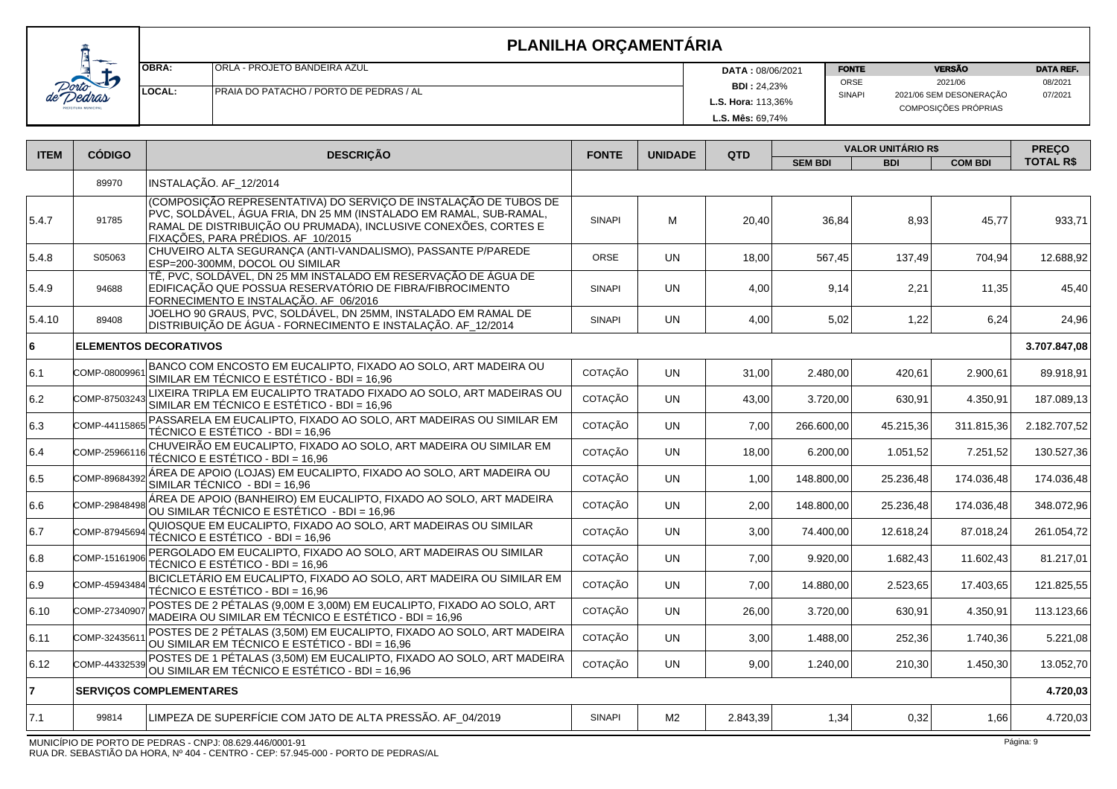|                          | <b>IOBRA:</b> | <b>ORLA - PROJETO BANDEIRA AZUL</b>     | <b>DATA: 08/06/2021</b> | <b>FONTE</b>  | <b>VERSÃO</b>                                   | <b>DATA REF.</b> |
|--------------------------|---------------|-----------------------------------------|-------------------------|---------------|-------------------------------------------------|------------------|
| Е                        |               |                                         | <b>BDI: 24,23%</b>      | ORSE          | 2021/06                                         | 08/2021          |
| dras<br><b>MUNICIPAL</b> | <b>LOCAL:</b> | PRAIA DO PATACHO / PORTO DE PEDRAS / AL |                         | <b>SINAPI</b> | 2021/06 SEM DESONERAÇÃO<br>COMPOSIÇÕES PRÓPRIAS | 07/2021          |
|                          |               |                                         | L.S. Mês: 69.74%        |               |                                                 |                  |

| <b>ITEM</b> | <b>CÓDIGO</b> | <b>DESCRIÇÃO</b>                                                                                                                                                                                                                                | <b>FONTE</b>  | <b>UNIDADE</b> | QTD      | <b>VALOR UNITÁRIO R\$</b> |            |                | <b>PRECO</b>     |
|-------------|---------------|-------------------------------------------------------------------------------------------------------------------------------------------------------------------------------------------------------------------------------------------------|---------------|----------------|----------|---------------------------|------------|----------------|------------------|
|             |               |                                                                                                                                                                                                                                                 |               |                |          | <b>SEM BDI</b>            | <b>BDI</b> | <b>COM BDI</b> | <b>TOTAL R\$</b> |
|             | 89970         | INSTALAÇÃO. AF_12/2014                                                                                                                                                                                                                          |               |                |          |                           |            |                |                  |
| 5.4.7       | 91785         | (COMPOSIÇÃO REPRESENTATIVA) DO SERVIÇO DE INSTALAÇÃO DE TUBOS DE<br>PVC, SOLDÁVEL, ÁGUA FRIA, DN 25 MM (INSTALADO EM RAMAL, SUB-RAMAL,<br>RAMAL DE DISTRIBUIÇÃO OU PRUMADA), INCLUSIVE CONEXÕES, CORTES E<br>FIXAÇÕES, PARA PRÉDIOS. AF_10/2015 | <b>SINAPI</b> | м              | 20,40    | 36,84                     | 8,93       | 45,77          | 933,71           |
| 5.4.8       | S05063        | CHUVEIRO ALTA SEGURANÇA (ANTI-VANDALISMO), PASSANTE P/PAREDE<br>ESP=200-300MM, DOCOL OU SIMILAR                                                                                                                                                 | <b>ORSE</b>   | UN             | 18,00    | 567.45                    | 137,49     | 704.94         | 12.688,92        |
| 5.4.9       | 94688         | TÊ, PVC, SOLDÁVEL, DN 25 MM INSTALADO EM RESERVAÇÃO DE ÁGUA DE<br>EDIFICAÇÃO QUE POSSUA RESERVATÓRIO DE FIBRA/FIBROCIMENTO<br>FORNECIMENTO E INSTALAÇÃO. AF_06/2016                                                                             | <b>SINAPI</b> | <b>UN</b>      | 4,00     | 9,14                      | 2,21       | 11,35          | 45,40            |
| 5.4.10      | 89408         | JOELHO 90 GRAUS, PVC, SOLDÁVEL, DN 25MM, INSTALADO EM RAMAL DE<br>DISTRIBUIÇÃO DE ÁGUA - FORNECIMENTO E INSTALAÇÃO. AF_12/2014                                                                                                                  | <b>SINAPI</b> | <b>UN</b>      | 4,00     | 5,02                      | 1,22       | 6,24           | 24,96            |
| l6          |               | <b>ELEMENTOS DECORATIVOS</b>                                                                                                                                                                                                                    |               |                |          |                           |            |                | 3.707.847,08     |
| 6.1         | COMP-0800996  | BANCO COM ENCOSTO EM EUCALIPTO, FIXADO AO SOLO, ART MADEIRA OU<br>SIMILAR EM TÉCNICO E ESTÉTICO - BDI = 16,96                                                                                                                                   | COTAÇÃO       | <b>UN</b>      | 31,00    | 2.480,00                  | 420,61     | 2.900,61       | 89.918,91        |
| 6.2         | COMP-87503243 | LIXEIRA TRIPLA EM EUCALIPTO TRATADO FIXADO AO SOLO, ART MADEIRAS OU<br>SIMILAR EM TÉCNICO E ESTÉTICO - BDI = 16,96                                                                                                                              | COTAÇÃO       | <b>UN</b>      | 43,00    | 3.720.00                  | 630,91     | 4.350.91       | 187.089.13       |
| 6.3         | COMP-44115865 | PASSARELA EM EUCALIPTO, FIXADO AO SOLO, ART MADEIRAS OU SIMILAR EM<br>TÉCNICO E ESTÉTICO - BDI = 16,96                                                                                                                                          | COTAÇÃO       | <b>UN</b>      | 7,00     | 266.600,00                | 45.215,36  | 311.815,36     | 2.182.707,52     |
| 6.4         | COMP-25966116 | CHUVEIRÃO EM EUCALIPTO, FIXADO AO SOLO, ART MADEIRA OU SIMILAR EM<br>TÉCNICO E ESTÉTICO - BDI = 16,96                                                                                                                                           | COTAÇÃO       | <b>UN</b>      | 18,00    | 6.200,00                  | 1.051,52   | 7.251,52       | 130.527,36       |
| 6.5         | COMP-89684392 | ÁREA DE APOIO (LOJAS) EM EUCALIPTO, FIXADO AO SOLO, ART MADEIRA OU<br>SIMILAR TÉCNICO - BDI = 16,96                                                                                                                                             | COTAÇÃO       | <b>UN</b>      | 1,00     | 148.800,00                | 25.236,48  | 174.036,48     | 174.036,48       |
| 6.6         | COMP-29848498 | ÁREA DE APOIO (BANHEIRO) EM EUCALIPTO, FIXADO AO SOLO, ART MADEIRA<br>OU SIMILAR TÉCNICO E ESTÉTICO - BDI = 16,96                                                                                                                               | COTAÇÃO       | <b>UN</b>      | 2,00     | 148.800,00                | 25.236,48  | 174.036,48     | 348.072,96       |
| 16.7        | COMP-87945694 | QUIOSQUE EM EUCALIPTO, FIXADO AO SOLO, ART MADEIRAS OU SIMILAR<br>TÉCNICO E ESTÉTICO - BDI = 16,96                                                                                                                                              | COTACÃO       | <b>UN</b>      | 3,00     | 74.400,00                 | 12.618.24  | 87.018,24      | 261.054,72       |
| 6.8         | COMP-15161906 | PERGOLADO EM EUCALIPTO, FIXADO AO SOLO, ART MADEIRAS OU SIMILAR<br>TÉCNICO E ESTÉTICO - BDI = 16,96                                                                                                                                             | COTAÇÃO       | <b>UN</b>      | 7,00     | 9.920,00                  | 1.682,43   | 11.602,43      | 81.217,01        |
| 6.9         | COMP-4594348  | BICICLETÁRIO EM EUCALIPTO, FIXADO AO SOLO, ART MADEIRA OU SIMILAR EM<br>TÉCNICO E ESTÉTICO - BDI = 16,96                                                                                                                                        | COTAÇÃO       | <b>UN</b>      | 7,00     | 14.880,00                 | 2.523,65   | 17.403,65      | 121.825,55       |
| 6.10        | COMP-27340907 | POSTES DE 2 PÉTALAS (9,00M E 3,00M) EM EUCALIPTO, FIXADO AO SOLO, ART<br>MADEIRA OU SIMILAR EM TÉCNICO E ESTÉTICO - BDI = 16,96                                                                                                                 | COTAÇÃO       | <b>UN</b>      | 26,00    | 3.720,00                  | 630,91     | 4.350,91       | 113.123,66       |
| 6.11        | COMP-3243561  | POSTES DE 2 PÉTALAS (3,50M) EM EUCALIPTO, FIXADO AO SOLO, ART MADEIRA<br>OU SIMILAR EM TÉCNICO E ESTÉTICO - BDI = 16,96                                                                                                                         | COTAÇÃO       | <b>UN</b>      | 3,00     | 1.488,00                  | 252,36     | 1.740,36       | 5.221,08         |
| 6.12        | COMP-4433253  | POSTES DE 1 PÉTALAS (3,50M) EM EUCALIPTO, FIXADO AO SOLO, ART MADEIRA<br>OU SIMILAR EM TÉCNICO E ESTÉTICO - BDI = 16,96                                                                                                                         | COTAÇÃO       | <b>UN</b>      | 9,00     | 1.240,00                  | 210,30     | 1.450,30       | 13.052,70        |
| 17          |               | <b>SERVIÇOS COMPLEMENTARES</b>                                                                                                                                                                                                                  |               |                |          |                           |            |                | 4.720,03         |
| 7.1         | 99814         | LIMPEZA DE SUPERFÍCIE COM JATO DE ALTA PRESSÃO. AF_04/2019                                                                                                                                                                                      | <b>SINAPI</b> | M <sub>2</sub> | 2.843,39 | 1,34                      | 0,32       | 1,66           | 4.720,03         |